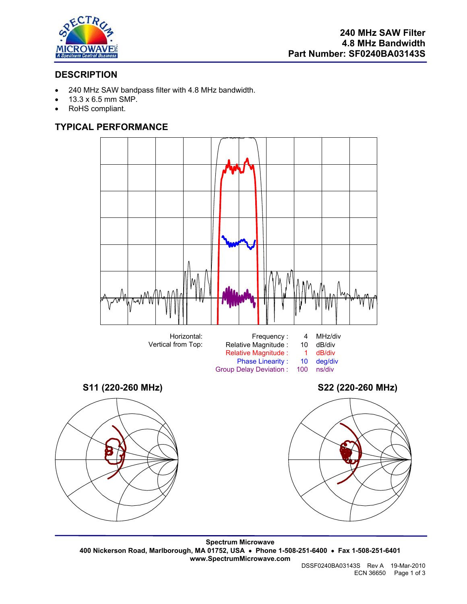

# **DESCRIPTION**

- 240 MHz SAW bandpass filter with 4.8 MHz bandwidth.
- 13.3 x 6.5 mm SMP.
- RoHS compliant.

# **TYPICAL PERFORMANCE**







**Spectrum Microwave 400 Nickerson Road, Marlborough, MA 01752, USA** • **Phone 1-508-251-6400** • **Fax 1-508-251-6401 www.SpectrumMicrowave.com** 

DSSF0240BA03143S Rev A 19-Mar-2010 ECN 36650 Page 1 of 3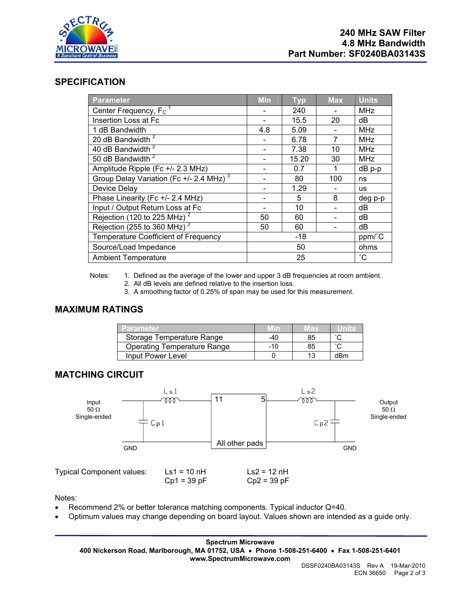

#### **SPECIFICATION**

| <b>Parameter</b>                                    | <b>Min</b> | <b>Typ</b> | <b>Max</b>      | <b>Units</b> |
|-----------------------------------------------------|------------|------------|-----------------|--------------|
| Center Frequency, F <sub>C</sub>                    |            | 240        |                 | <b>MHz</b>   |
| Insertion Loss at Fc                                |            | 15.5       | 20              | dB           |
| 1 dB Bandwidth                                      | 4.8        | 5.09       |                 | <b>MHz</b>   |
| 20 dB Bandwidth <sup>2</sup>                        |            | 6.78       | 7               | <b>MHz</b>   |
| 40 dB Bandwidth <sup>2</sup>                        |            | 7.38       | 10              | <b>MHz</b>   |
| 50 dB Bandwidth <sup>2</sup>                        |            | 15.20      | 30              | <b>MHz</b>   |
| Amplitude Ripple (Fc +/- 2.3 MHz)                   |            | 0.7        | 1               | $dB$ p-p     |
| Group Delay Variation (Fc +/- 2.4 MHz) <sup>3</sup> |            | 80         | 100             | ns           |
| Device Delay                                        |            | 1.29       |                 | <b>us</b>    |
| Phase Linearity (Fc +/- 2.4 MHz)                    |            | 5          | 8               | deg p-p      |
| Input / Output Return Loss at Fc                    |            | 10         |                 | dB           |
| Rejection (120 to 225 MHz) <sup>2</sup>             | 50         | 60         |                 | dB           |
| Rejection (255 to 360 MHz) <sup>2</sup>             | 50         | 60         |                 | dВ           |
| <b>Temperature Coefficient of Frequency</b>         | $-18$      |            |                 | ppm/°C       |
| Source/Load Impedance                               | 50         |            | ohms            |              |
| <b>Ambient Temperature</b>                          | 25         |            | $\rm ^{\circ}C$ |              |

Notes: 1. Defined as the average of the lower and upper 3 dB frequencies at room ambient.

- 2. All dB levels are defined relative to the insertion loss.
- 3. A smoothing factor of 0.25% of span may be used for this measurement.

### **MAXIMUM RATINGS**

| <b>Parameter</b>                   |     | 1803 |        |
|------------------------------------|-----|------|--------|
| Storage Temperature Range          | -40 | 85   |        |
| <b>Operating Temperature Range</b> | -10 | 85   | $\sim$ |
| Input Power Level                  |     |      | dBm    |

### **MATCHING CIRCUIT**



Notes:

- Recommend 2% or better tolerance matching components. Typical inductor Q=40.
- Optimum values may change depending on board layout. Values shown are intended as a guide only.

**Spectrum Microwave 400 Nickerson Road, Marlborough, MA 01752, USA** • **Phone 1-508-251-6400** • **Fax 1-508-251-6401 www.SpectrumMicrowave.com**